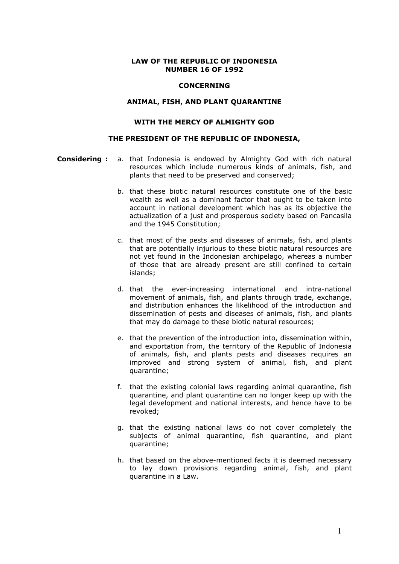#### LAW OF THE REPUBLIC OF INDONESIA NUMBER 16 OF 1992

#### **CONCERNING**

## ANIMAL, FISH, AND PLANT QUARANTINE

# WITH THE MERCY OF ALMIGHTY GOD

#### THE PRESIDENT OF THE REPUBLIC OF INDONESIA,

- **Considering:** a. that Indonesia is endowed by Almighty God with rich natural resources which include numerous kinds of animals, fish, and plants that need to be preserved and conserved;
	- b. that these biotic natural resources constitute one of the basic wealth as well as a dominant factor that ought to be taken into account in national development which has as its objective the actualization of a just and prosperous society based on Pancasila and the 1945 Constitution;
	- c. that most of the pests and diseases of animals, fish, and plants that are potentially injurious to these biotic natural resources are not yet found in the Indonesian archipelago, whereas a number of those that are already present are still confined to certain islands;
	- d. that the ever-increasing international and intra-national movement of animals, fish, and plants through trade, exchange, and distribution enhances the likelihood of the introduction and dissemination of pests and diseases of animals, fish, and plants that may do damage to these biotic natural resources;
	- e. that the prevention of the introduction into, dissemination within, and exportation from, the territory of the Republic of Indonesia of animals, fish, and plants pests and diseases requires an improved and strong system of animal, fish, and plant quarantine;
	- f. that the existing colonial laws regarding animal quarantine, fish quarantine, and plant quarantine can no longer keep up with the legal development and national interests, and hence have to be revoked;
	- g. that the existing national laws do not cover completely the subjects of animal quarantine, fish quarantine, and plant quarantine;
	- h. that based on the above-mentioned facts it is deemed necessary to lay down provisions regarding animal, fish, and plant quarantine in a Law.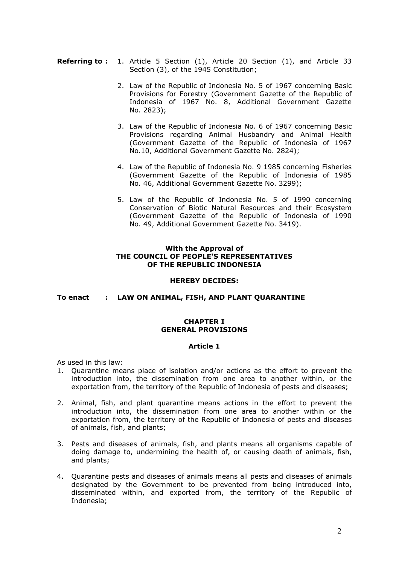- **Referring to :** 1. Article 5 Section (1), Article 20 Section (1), and Article 33 Section (3), of the 1945 Constitution;
	- 2. Law of the Republic of Indonesia No. 5 of 1967 concerning Basic Provisions for Forestry (Government Gazette of the Republic of Indonesia of 1967 No. 8, Additional Government Gazette No. 2823);
	- 3. Law of the Republic of Indonesia No. 6 of 1967 concerning Basic Provisions regarding Animal Husbandry and Animal Health (Government Gazette of the Republic of Indonesia of 1967 No.10, Additional Government Gazette No. 2824);
	- 4. Law of the Republic of Indonesia No. 9 1985 concerning Fisheries (Government Gazette of the Republic of Indonesia of 1985 No. 46, Additional Government Gazette No. 3299);
	- 5. Law of the Republic of Indonesia No. 5 of 1990 concerning Conservation of Biotic Natural Resources and their Ecosystem (Government Gazette of the Republic of Indonesia of 1990 No. 49, Additional Government Gazette No. 3419).

# With the Approval of THE COUNCIL OF PEOPLE'S REPRESENTATIVES OF THE REPUBLIC INDONESIA

#### HEREBY DECIDES:

To enact : LAW ON ANIMAL, FISH, AND PLANT QUARANTINE

# CHAPTER I GENERAL PROVISIONS

## Article 1

As used in this law:

- 1. Quarantine means place of isolation and/or actions as the effort to prevent the introduction into, the dissemination from one area to another within, or the exportation from, the territory of the Republic of Indonesia of pests and diseases;
- 2. Animal, fish, and plant quarantine means actions in the effort to prevent the introduction into, the dissemination from one area to another within or the exportation from, the territory of the Republic of Indonesia of pests and diseases of animals, fish, and plants;
- 3. Pests and diseases of animals, fish, and plants means all organisms capable of doing damage to, undermining the health of, or causing death of animals, fish, and plants;
- 4. Quarantine pests and diseases of animals means all pests and diseases of animals designated by the Government to be prevented from being introduced into, disseminated within, and exported from, the territory of the Republic of Indonesia;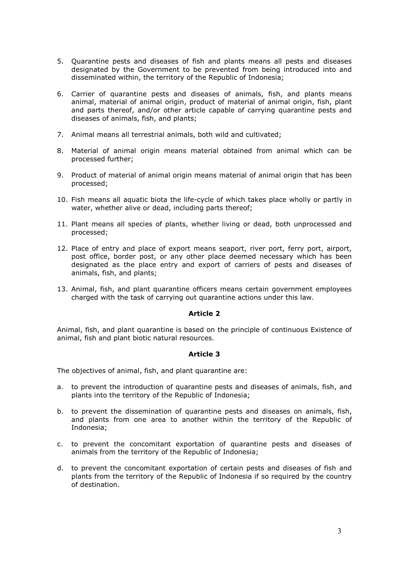- 5. Quarantine pests and diseases of fish and plants means all pests and diseases designated by the Government to be prevented from being introduced into and disseminated within, the territory of the Republic of Indonesia;
- 6. Carrier of quarantine pests and diseases of animals, fish, and plants means animal, material of animal origin, product of material of animal origin, fish, plant and parts thereof, and/or other article capable of carrying quarantine pests and diseases of animals, fish, and plants;
- 7. Animal means all terrestrial animals, both wild and cultivated;
- 8. Material of animal origin means material obtained from animal which can be processed further;
- 9. Product of material of animal origin means material of animal origin that has been processed;
- 10. Fish means all aquatic biota the life-cycle of which takes place wholly or partly in water, whether alive or dead, including parts thereof;
- 11. Plant means all species of plants, whether living or dead, both unprocessed and processed;
- 12. Place of entry and place of export means seaport, river port, ferry port, airport, post office, border post, or any other place deemed necessary which has been designated as the place entry and export of carriers of pests and diseases of animals, fish, and plants;
- 13. Animal, fish, and plant quarantine officers means certain government employees charged with the task of carrying out quarantine actions under this law.

Animal, fish, and plant quarantine is based on the principle of continuous Existence of animal, fish and plant biotic natural resources.

## Article 3

The objectives of animal, fish, and plant quarantine are:

- a. to prevent the introduction of quarantine pests and diseases of animals, fish, and plants into the territory of the Republic of Indonesia;
- b. to prevent the dissemination of quarantine pests and diseases on animals, fish, and plants from one area to another within the territory of the Republic of Indonesia;
- c. to prevent the concomitant exportation of quarantine pests and diseases of animals from the territory of the Republic of Indonesia;
- d. to prevent the concomitant exportation of certain pests and diseases of fish and plants from the territory of the Republic of Indonesia if so required by the country of destination.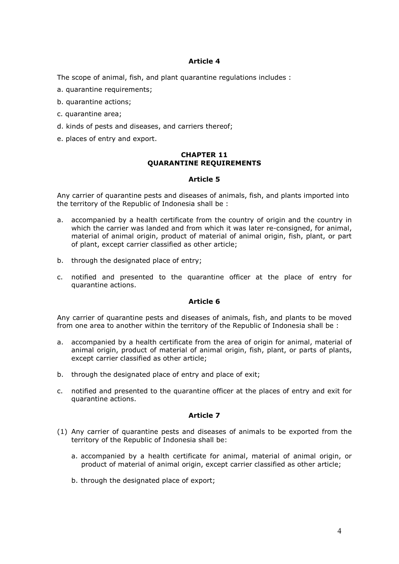The scope of animal, fish, and plant quarantine regulations includes :

- a. quarantine requirements;
- b. quarantine actions;
- c. quarantine area;
- d. kinds of pests and diseases, and carriers thereof;
- e. places of entry and export.

# CHAPTER 11 QUARANTINE REQUIREMENTS

# Article 5

Any carrier of quarantine pests and diseases of animals, fish, and plants imported into the territory of the Republic of Indonesia shall be :

- a. accompanied by a health certificate from the country of origin and the country in which the carrier was landed and from which it was later re-consigned, for animal, material of animal origin, product of material of animal origin, fish, plant, or part of plant, except carrier classified as other article;
- b. through the designated place of entry;
- c. notified and presented to the quarantine officer at the place of entry for quarantine actions.

# Article 6

Any carrier of quarantine pests and diseases of animals, fish, and plants to be moved from one area to another within the territory of the Republic of Indonesia shall be :

- a. accompanied by a health certificate from the area of origin for animal, material of animal origin, product of material of animal origin, fish, plant, or parts of plants, except carrier classified as other article;
- b. through the designated place of entry and place of exit;
- c. notified and presented to the quarantine officer at the places of entry and exit for quarantine actions.

- (1) Any carrier of quarantine pests and diseases of animals to be exported from the territory of the Republic of Indonesia shall be:
	- a. accompanied by a health certificate for animal, material of animal origin, or product of material of animal origin, except carrier classified as other article;
	- b. through the designated place of export;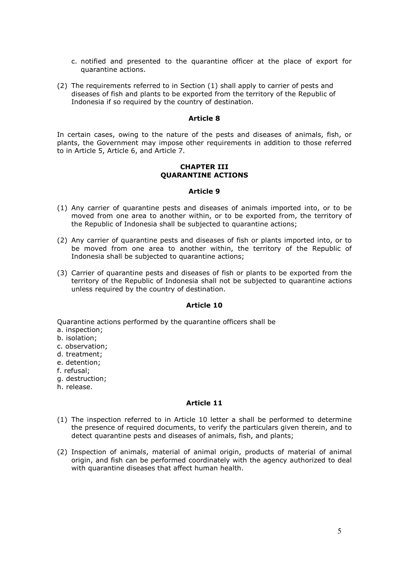- c. notified and presented to the quarantine officer at the place of export for quarantine actions.
- (2) The requirements referred to in Section (1) shall apply to carrier of pests and diseases of fish and plants to be exported from the territory of the Republic of Indonesia if so required by the country of destination.

In certain cases, owing to the nature of the pests and diseases of animals, fish, or plants, the Government may impose other requirements in addition to those referred to in Article 5, Article 6, and Article 7.

#### CHAPTER III QUARANTINE ACTIONS

#### Article 9

- (1) Any carrier of quarantine pests and diseases of animals imported into, or to be moved from one area to another within, or to be exported from, the territory of the Republic of Indonesia shall be subjected to quarantine actions;
- (2) Any carrier of quarantine pests and diseases of fish or plants imported into, or to be moved from one area to another within, the territory of the Republic of Indonesia shall be subjected to quarantine actions;
- (3) Carrier of quarantine pests and diseases of fish or plants to be exported from the territory of the Republic of Indonesia shall not be subjected to quarantine actions unless required by the country of destination.

## Article 10

Quarantine actions performed by the quarantine officers shall be

- a. inspection;
- b. isolation;
- c. observation;
- d. treatment;
- e. detention;
- f. refusal;
- g. destruction;
- h. release.

- (1) The inspection referred to in Article 10 letter a shall be performed to determine the presence of required documents, to verify the particulars given therein, and to detect quarantine pests and diseases of animals, fish, and plants;
- (2) Inspection of animals, material of animal origin, products of material of animal origin, and fish can be performed coordinately with the agency authorized to deal with quarantine diseases that affect human health.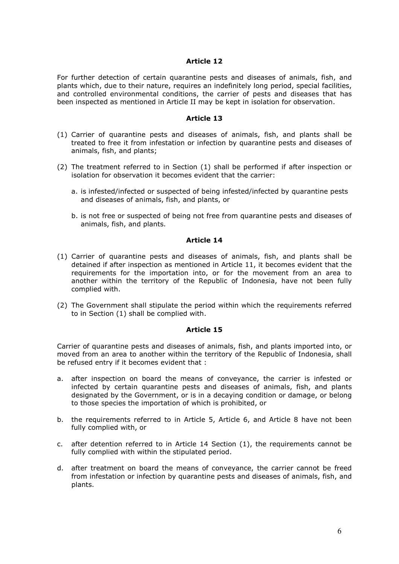For further detection of certain quarantine pests and diseases of animals, fish, and plants which, due to their nature, requires an indefinitely long period, special facilities, and controlled environmental conditions, the carrier of pests and diseases that has been inspected as mentioned in Article II may be kept in isolation for observation.

#### Article 13

- (1) Carrier of quarantine pests and diseases of animals, fish, and plants shall be treated to free it from infestation or infection by quarantine pests and diseases of animals, fish, and plants;
- (2) The treatment referred to in Section (1) shall be performed if after inspection or isolation for observation it becomes evident that the carrier:
	- a. is infested/infected or suspected of being infested/infected by quarantine pests and diseases of animals, fish, and plants, or
	- b. is not free or suspected of being not free from quarantine pests and diseases of animals, fish, and plants.

# Article 14

- (1) Carrier of quarantine pests and diseases of animals, fish, and plants shall be detained if after inspection as mentioned in Article 11, it becomes evident that the requirements for the importation into, or for the movement from an area to another within the territory of the Republic of Indonesia, have not been fully complied with.
- (2) The Government shall stipulate the period within which the requirements referred to in Section (1) shall be complied with.

#### Article 15

Carrier of quarantine pests and diseases of animals, fish, and plants imported into, or moved from an area to another within the territory of the Republic of Indonesia, shall be refused entry if it becomes evident that :

- a. after inspection on board the means of conveyance, the carrier is infested or infected by certain quarantine pests and diseases of animals, fish, and plants designated by the Government, or is in a decaying condition or damage, or belong to those species the importation of which is prohibited, or
- b. the requirements referred to in Article 5, Article 6, and Article 8 have not been fully complied with, or
- c. after detention referred to in Article 14 Section (1), the requirements cannot be fully complied with within the stipulated period.
- d. after treatment on board the means of conveyance, the carrier cannot be freed from infestation or infection by quarantine pests and diseases of animals, fish, and plants.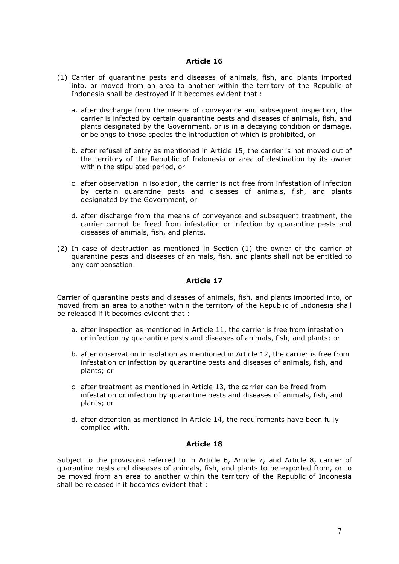- (1) Carrier of quarantine pests and diseases of animals, fish, and plants imported into, or moved from an area to another within the territory of the Republic of Indonesia shall be destroyed if it becomes evident that :
	- a. after discharge from the means of conveyance and subsequent inspection, the carrier is infected by certain quarantine pests and diseases of animals, fish, and plants designated by the Government, or is in a decaying condition or damage, or belongs to those species the introduction of which is prohibited, or
	- b. after refusal of entry as mentioned in Article 15, the carrier is not moved out of the territory of the Republic of Indonesia or area of destination by its owner within the stipulated period, or
	- c. after observation in isolation, the carrier is not free from infestation of infection by certain quarantine pests and diseases of animals, fish, and plants designated by the Government, or
	- d. after discharge from the means of conveyance and subsequent treatment, the carrier cannot be freed from infestation or infection by quarantine pests and diseases of animals, fish, and plants.
- (2) In case of destruction as mentioned in Section (1) the owner of the carrier of quarantine pests and diseases of animals, fish, and plants shall not be entitled to any compensation.

#### Article 17

Carrier of quarantine pests and diseases of animals, fish, and plants imported into, or moved from an area to another within the territory of the Republic of Indonesia shall be released if it becomes evident that :

- a. after inspection as mentioned in Article 11, the carrier is free from infestation or infection by quarantine pests and diseases of animals, fish, and plants; or
- b. after observation in isolation as mentioned in Article 12, the carrier is free from infestation or infection by quarantine pests and diseases of animals, fish, and plants; or
- c. after treatment as mentioned in Article 13, the carrier can be freed from infestation or infection by quarantine pests and diseases of animals, fish, and plants; or
- d. after detention as mentioned in Article 14, the requirements have been fully complied with.

## Article 18

Subject to the provisions referred to in Article 6, Article 7, and Article 8, carrier of quarantine pests and diseases of animals, fish, and plants to be exported from, or to be moved from an area to another within the territory of the Republic of Indonesia shall be released if it becomes evident that :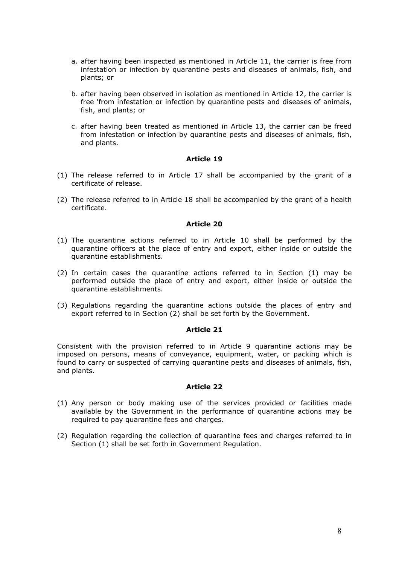- a. after having been inspected as mentioned in Article 11, the carrier is free from infestation or infection by quarantine pests and diseases of animals, fish, and plants; or
- b. after having been observed in isolation as mentioned in Article 12, the carrier is free 'from infestation or infection by quarantine pests and diseases of animals, fish, and plants; or
- c. after having been treated as mentioned in Article 13, the carrier can be freed from infestation or infection by quarantine pests and diseases of animals, fish, and plants.

- (1) The release referred to in Article 17 shall be accompanied by the grant of a certificate of release.
- (2) The release referred to in Article 18 shall be accompanied by the grant of a health certificate.

## Article 20

- (1) The quarantine actions referred to in Article 10 shall be performed by the quarantine officers at the place of entry and export, either inside or outside the quarantine establishments.
- (2) In certain cases the quarantine actions referred to in Section (1) may be performed outside the place of entry and export, either inside or outside the quarantine establishments.
- (3) Regulations regarding the quarantine actions outside the places of entry and export referred to in Section (2) shall be set forth by the Government.

# Article 21

Consistent with the provision referred to in Article 9 quarantine actions may be imposed on persons, means of conveyance, equipment, water, or packing which is found to carry or suspected of carrying quarantine pests and diseases of animals, fish, and plants.

- (1) Any person or body making use of the services provided or facilities made available by the Government in the performance of quarantine actions may be required to pay quarantine fees and charges.
- (2) Regulation regarding the collection of quarantine fees and charges referred to in Section (1) shall be set forth in Government Regulation.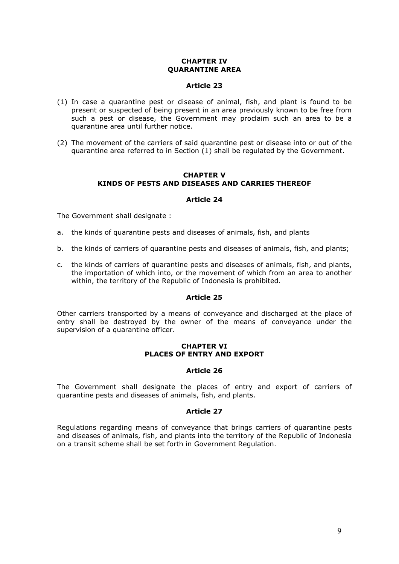# CHAPTER IV QUARANTINE AREA

#### Article 23

- (1) In case a quarantine pest or disease of animal, fish, and plant is found to be present or suspected of being present in an area previously known to be free from such a pest or disease, the Government may proclaim such an area to be a quarantine area until further notice.
- (2) The movement of the carriers of said quarantine pest or disease into or out of the quarantine area referred to in Section (1) shall be regulated by the Government.

# CHAPTER V KINDS OF PESTS AND DISEASES AND CARRIES THEREOF

## Article 24

The Government shall designate :

- a. the kinds of quarantine pests and diseases of animals, fish, and plants
- b. the kinds of carriers of quarantine pests and diseases of animals, fish, and plants;
- c. the kinds of carriers of quarantine pests and diseases of animals, fish, and plants, the importation of which into, or the movement of which from an area to another within, the territory of the Republic of Indonesia is prohibited.

#### Article 25

Other carriers transported by a means of conveyance and discharged at the place of entry shall be destroyed by the owner of the means of conveyance under the supervision of a quarantine officer.

#### CHAPTER VI PLACES OF ENTRY AND EXPORT

#### Article 26

The Government shall designate the places of entry and export of carriers of quarantine pests and diseases of animals, fish, and plants.

#### Article 27

Regulations regarding means of conveyance that brings carriers of quarantine pests and diseases of animals, fish, and plants into the territory of the Republic of Indonesia on a transit scheme shall be set forth in Government Regulation.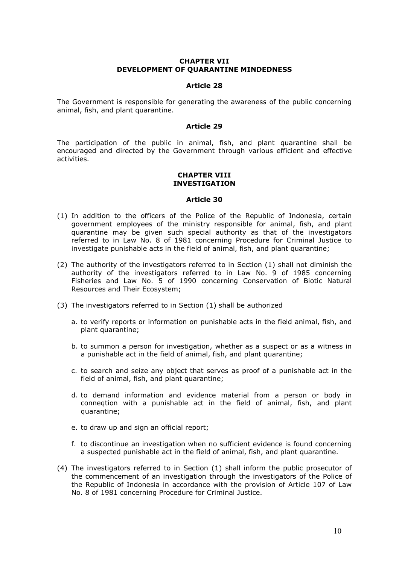#### CHAPTER VII DEVELOPMENT OF QUARANTINE MINDEDNESS

#### Article 28

The Government is responsible for generating the awareness of the public concerning animal, fish, and plant quarantine.

#### Article 29

The participation of the public in animal, fish, and plant quarantine shall be encouraged and directed by the Government through various efficient and effective activities.

#### CHAPTER VIII INVESTIGATION

- (1) In addition to the officers of the Police of the Republic of Indonesia, certain government employees of the ministry responsible for animal, fish, and plant quarantine may be given such special authority as that of the investigators referred to in Law No. 8 of 1981 concerning Procedure for Criminal Justice to investigate punishable acts in the field of animal, fish, and plant quarantine;
- (2) The authority of the investigators referred to in Section (1) shall not diminish the authority of the investigators referred to in Law No. 9 of 1985 concerning Fisheries and Law No. 5 of 1990 concerning Conservation of Biotic Natural Resources and Their Ecosystem;
- (3) The investigators referred to in Section (1) shall be authorized
	- a. to verify reports or information on punishable acts in the field animal, fish, and plant quarantine;
	- b. to summon a person for investigation, whether as a suspect or as a witness in a punishable act in the field of animal, fish, and plant quarantine;
	- c. to search and seize any object that serves as proof of a punishable act in the field of animal, fish, and plant quarantine;
	- d. to demand information and evidence material from a person or body in conneqtion with a punishable act in the field of animal, fish, and plant quarantine;
	- e. to draw up and sign an official report;
	- f. to discontinue an investigation when no sufficient evidence is found concerning a suspected punishable act in the field of animal, fish, and plant quarantine.
- (4) The investigators referred to in Section (1) shall inform the public prosecutor of the commencement of an investigation through the investigators of the Police of the Republic of Indonesia in accordance with the provision of Article 107 of Law No. 8 of 1981 concerning Procedure for Criminal Justice.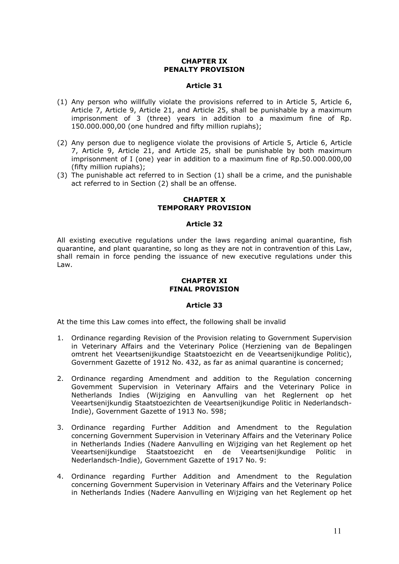# CHAPTER IX PENALTY PROVISION

## Article 31

- (1) Any person who willfully violate the provisions referred to in Article 5, Article 6, Article 7, Article 9, Article 21, and Article 25, shall be punishable by a maximum imprisonment of 3 (three) years in addition to a maximum fine of Rp. 150.000.000,00 (one hundred and fifty million rupiahs);
- (2) Any person due to negligence violate the provisions of Article 5, Article 6, Article 7, Article 9, Article 21, and Article 25, shall be punishable by both maximum imprisonment of I (one) year in addition to a maximum fine of Rp.50.000.000,00 (fifty million rupiahs);
- (3) The punishable act referred to in Section (1) shall be a crime, and the punishable act referred to in Section (2) shall be an offense.

# CHAPTER X TEMPORARY PROVISION

## Article 32

All existing executive regulations under the laws regarding animal quarantine, fish quarantine, and plant quarantine, so long as they are not in contravention of this Law, shall remain in force pending the issuance of new executive regulations under this Law.

#### CHAPTER XI FINAL PROVISION

#### Article 33

At the time this Law comes into effect, the following shall be invalid

- 1. Ordinance regarding Revision of the Provision relating to Government Supervision in Veterinary Affairs and the Veterinary Police (Herziening van de Bepalingen omtrent het Veeartsenijkundige Staatstoezicht en de Veeartsenijkundige Politic), Government Gazette of 1912 No. 432, as far as animal quarantine is concerned;
- 2. Ordinance regarding Amendment and addition to the Regulation concerning Govemment Supervision in Veterinary Affairs and the Veterinary Police in Netherlands Indies (Wijziging en Aanvulling van het Reglernent op het Veeartsenijkundig Staatstoezichten de Veeartsenijkundige Politic in Nederlandsch-Indie), Government Gazette of 1913 No. 598;
- 3. Ordinance regarding Further Addition and Amendment to the Regulation concerning Government Supervision in Veterinary Affairs and the Veterinary Police in Netherlands Indies (Nadere Aanvulling en Wijziging van het Reglement op het Veeartsenijkundige Staatstoezicht en de Veeartsenijkundige Politic in Nederlandsch-Indie), Government Gazette of 1917 No. 9:
- 4. Ordinance regarding Further Addition and Amendment to the Regulation concerning Government Supervision in Veterinary Affairs and the Veterinary Police in Netherlands Indies (Nadere Aanvulling en Wijziging van het Reglement op het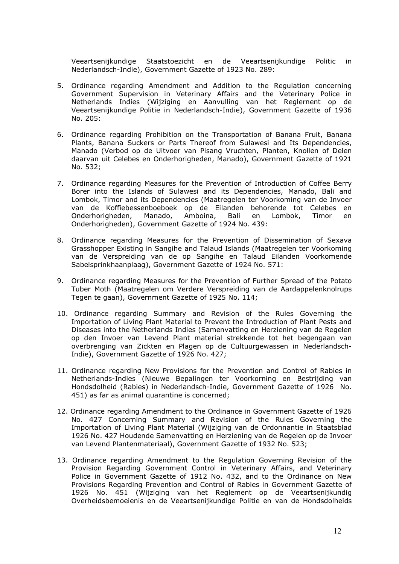Veeartsenijkundige Staatstoezicht en de Veeartsenijkundige Politic in Nederlandsch-Indie), Government Gazette of 1923 No. 289:

- 5. Ordinance regarding Amendment and Addition to the Regulation concerning Government Supervision in Veterinary Affairs and the Veterinary Police in Netherlands Indies (Wijziging en Aanvulling van het Reglernent op de Veeartsenijkundige Politie in Nederlandsch-Indie), Government Gazette of 1936 No. 205:
- 6. Ordinance regarding Prohibition on the Transportation of Banana Fruit, Banana Plants, Banana Suckers or Parts Thereof from Sulawesi and Its Dependencies, Manado (Verbod op de Uitvoer van Pisang Vruchten, Planten, Knollen of Delen daarvan uit Celebes en Onderhorigheden, Manado), Government Gazette of 1921 No. 532;
- 7. Ordinance regarding Measures for the Prevention of Introduction of Coffee Berry Borer into the Islands of Sulawesi and its Dependencies, Manado, Bali and Lombok, Timor and its Dependencies (Maatregelen ter Voorkoming van de Invoer van de Koffiebessenboeboek op de Eilanden behorende tot Celebes en Onderhorigheden, Manado, Amboina, Bali en Lombok, Timor en Onderhorigheden), Government Gazette of 1924 No. 439:
- 8. Ordinance regarding Measures for the Prevention of Dissemination of Sexava Grasshopper Existing in Sangihe and Talaud Islands (Maatregelen ter Voorkoming van de Verspreiding van de op Sangihe en Talaud Eilanden Voorkomende Sabelsprinkhaanplaag), Government Gazette of 1924 No. 571:
- 9. Ordinance regarding Measures for the Prevention of Further Spread of the Potato Tuber Moth (Maatregelen om Verdere Verspreiding van de Aardappelenknolrups Tegen te gaan), Government Gazette of 1925 No. 114;
- 10. Ordinance regarding Summary and Revision of the Rules Governing the Importation of Living Plant Material to Prevent the Introduction of Plant Pests and Diseases into the Netherlands Indies (Samenvatting en Herziening van de Regelen op den Invoer van Levend Plant material strekkende tot het begengaan van overbrenging van Zickten en Plagen op de Cultuurgewassen in Nederlandsch-Indie), Government Gazette of 1926 No. 427;
- 11. Ordinance regarding New Provisions for the Prevention and Control of Rabies in Netherlands-Indies (Nieuwe Bepalingen ter Voorkorning en Bestrijding van Hondsdolheid (Rabies) in Nederlandsch-Indie, Government Gazette of 1926 No. 451) as far as animal quarantine is concerned;
- 12. Ordinance regarding Amendment to the Ordinance in Government Gazette of 1926 No. 427 Concerning Summary and Revision of the Rules Governing the Importation of Living Plant Material (Wijziging van de Ordonnantie in Staatsblad 1926 No. 427 Houdende Samenvatting en Herziening van de Regelen op de Invoer van Levend Plantenmateriaal), Government Gazette of 1932 No. 523;
- 13. Ordinance regarding Amendment to the Regulation Governing Revision of the Provision Regarding Government Control in Veterinary Affairs, and Veterinary Police in Government Gazette of 1912 No. 432, and to the Ordinance on New Provisions Regarding Prevention and Control of Rabies in Government Gazette of 1926 No. 451 (Wijziging van het Reglement op de Veeartsenijkundig Overheidsbemoeienis en de Veeartsenijkundige Politie en van de Hondsdolheids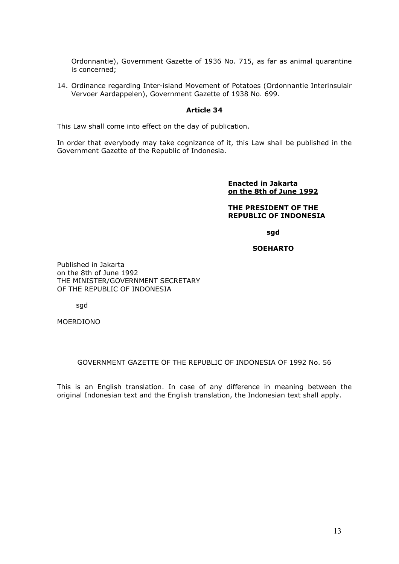Ordonnantie), Government Gazette of 1936 No. 715, as far as animal quarantine is concerned;

14. Ordinance regarding Inter-island Movement of Potatoes (Ordonnantie Interinsulair Vervoer Aardappelen), Government Gazette of 1938 No. 699.

# Article 34

This Law shall come into effect on the day of publication.

In order that everybody may take cognizance of it, this Law shall be published in the Government Gazette of the Republic of Indonesia.

> Enacted in Jakarta on the 8th of June 1992

#### THE PRESIDENT OF THE REPUBLIC OF INDONESIA

sgd

## SOEHARTO

Published in Jakarta on the 8th of June 1992 THE MINISTER/GOVERNMENT SECRETARY OF THE REPUBLIC OF INDONESIA

sgd

MOERDIONO

## GOVERNMENT GAZETTE OF THE REPUBLIC OF INDONESIA OF 1992 No. 56

This is an English translation. In case of any difference in meaning between the original Indonesian text and the English translation, the Indonesian text shall apply.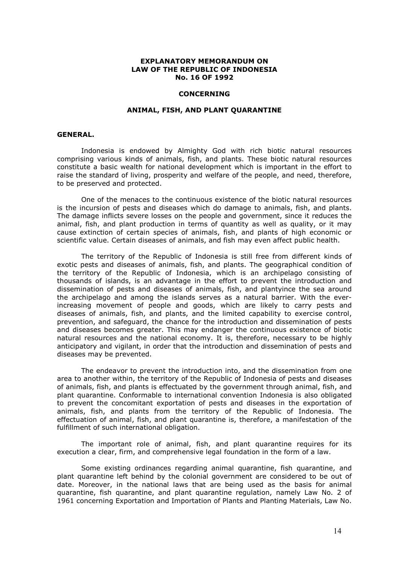#### EXPLANATORY MEMORANDUM ON LAW OF THE REPUBLIC OF INDONESIA No. 16 OF 1992

#### **CONCERNING**

#### ANIMAL, FISH, AND PLANT QUARANTINE

#### GENERAL.

Indonesia is endowed by Almighty God with rich biotic natural resources comprising various kinds of animals, fish, and plants. These biotic natural resources constitute a basic wealth for national development which is important in the effort to raise the standard of living, prosperity and welfare of the people, and need, therefore, to be preserved and protected.

One of the menaces to the continuous existence of the biotic natural resources is the incursion of pests and diseases which do damage to animals, fish, and plants. The damage inflicts severe losses on the people and government, since it reduces the animal, fish, and plant production in terms of quantity as well as quality, or it may cause extinction of certain species of animals, fish, and plants of high economic or scientific value. Certain diseases of animals, and fish may even affect public health.

The territory of the Republic of Indonesia is still free from different kinds of exotic pests and diseases of animals, fish, and plants. The geographical condition of the territory of the Republic of Indonesia, which is an archipelago consisting of thousands of islands, is an advantage in the effort to prevent the introduction and dissemination of pests and diseases of animals, fish, and plantyince the sea around the archipelago and among the islands serves as a natural barrier. With the everincreasing movement of people and goods, which are likely to carry pests and diseases of animals, fish, and plants, and the limited capability to exercise control, prevention, and safeguard, the chance for the introduction and dissemination of pests and diseases becomes greater. This may endanger the continuous existence of biotic natural resources and the national economy. It is, therefore, necessary to be highly anticipatory and vigilant, in order that the introduction and dissemination of pests and diseases may be prevented.

The endeavor to prevent the introduction into, and the dissemination from one area to another within, the territory of the Republic of Indonesia of pests and diseases of animals, fish, and plants is effectuated by the government through animal, fish, and plant quarantine. Conformable to international convention Indonesia is also obligated to prevent the concomitant exportation of pests and diseases in the exportation of animals, fish, and plants from the territory of the Republic of Indonesia. The effectuation of animal, fish, and plant quarantine is, therefore, a manifestation of the fulfillment of such international obligation.

The important role of animal, fish, and plant quarantine requires for its execution a clear, firm, and comprehensive legal foundation in the form of a law.

Some existing ordinances regarding animal quarantine, fish quarantine, and plant quarantine left behind by the colonial government are considered to be out of date. Moreover, in the national laws that are being used as the basis for animal quarantine, fish quarantine, and plant quarantine regulation, namely Law No. 2 of 1961 concerning Exportation and Importation of Plants and Planting Materials, Law No.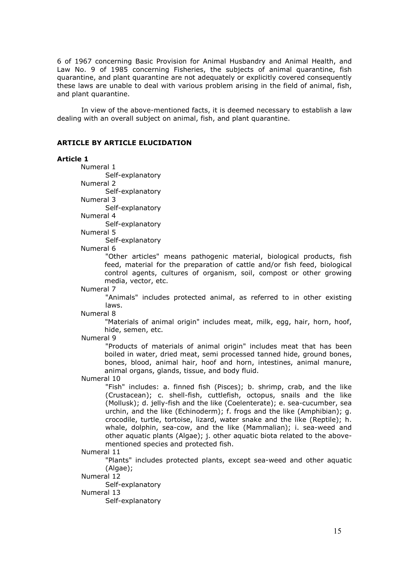6 of 1967 concerning Basic Provision for Animal Husbandry and Animal Health, and Law No. 9 of 1985 concerning Fisheries, the subjects of animal quarantine, fish quarantine, and plant quarantine are not adequately or explicitly covered consequently these laws are unable to deal with various problem arising in the field of animal, fish, and plant quarantine.

In view of the above-mentioned facts, it is deemed necessary to establish a law dealing with an overall subject on animal, fish, and plant quarantine.

## ARTICLE BY ARTICLE ELUCIDATION

#### Article 1

Numeral 1 Self-explanatory

Numeral 2 Self-explanatory

Numeral 3

Self-explanatory

Numeral 4

 Self-explanatory Numeral 5

Self-explanatory

Numeral 6

 "Other articles" means pathogenic material, biological products, fish feed, material for the preparation of cattle and/or fish feed, biological control agents, cultures of organism, soil, compost or other growing media, vector, etc.

Numeral 7

 "Animals" includes protected animal, as referred to in other existing laws.

Numeral 8

"Materials of animal origin" includes meat, milk, egg, hair, horn, hoof, hide, semen, etc.

Numeral 9

"Products of materials of animal origin" includes meat that has been boiled in water, dried meat, semi processed tanned hide, ground bones, bones, blood, animal hair, hoof and horn, intestines, animal manure, animal organs, glands, tissue, and body fluid.

Numeral 10

"Fish" includes: a. finned fish (Pisces); b. shrimp, crab, and the like (Crustacean); c. shell-fish, cuttlefish, octopus, snails and the like (Mollusk); d. jelly-fish and the like (Coelenterate); e. sea-cucumber, sea urchin, and the like (Echinoderm); f. frogs and the like (Amphibian); g. crocodile, turtle, tortoise, lizard, water snake and the like (Reptile); h. whale, dolphin, sea-cow, and the like (Mammalian); i. sea-weed and other aquatic plants (Algae); j. other aquatic biota related to the abovementioned species and protected fish.

Numeral 11

"Plants" includes protected plants, except sea-weed and other aquatic (Algae);

Numeral 12

Self-explanatory

Numeral 13

Self-explanatory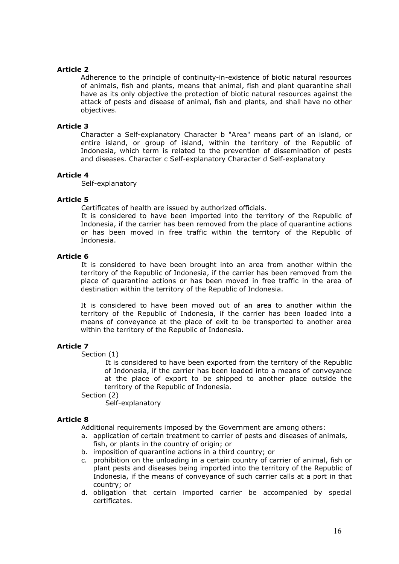Adherence to the principle of continuity-in-existence of biotic natural resources of animals, fish and plants, means that animal, fish and plant quarantine shall have as its only objective the protection of biotic natural resources against the attack of pests and disease of animal, fish and plants, and shall have no other objectives.

# Article 3

Character a Self-explanatory Character b "Area" means part of an island, or entire island, or group of island, within the territory of the Republic of Indonesia, which term is related to the prevention of dissemination of pests and diseases. Character c Self-explanatory Character d Self-explanatory

# Article 4

Self-explanatory

# Article 5

Certificates of health are issued by authorized officials.

It is considered to have been imported into the territory of the Republic of Indonesia, if the carrier has been removed from the place of quarantine actions or has been moved in free traffic within the territory of the Republic of Indonesia.

# Article 6

It is considered to have been brought into an area from another within the territory of the Republic of Indonesia, if the carrier has been removed from the place of quarantine actions or has been moved in free traffic in the area of destination within the territory of the Republic of Indonesia.

It is considered to have been moved out of an area to another within the territory of the Republic of Indonesia, if the carrier has been loaded into a means of conveyance at the place of exit to be transported to another area within the territory of the Republic of Indonesia.

# Article 7

Section (1)

 It is considered to have been exported from the territory of the Republic of Indonesia, if the carrier has been loaded into a means of conveyance at the place of export to be shipped to another place outside the territory of the Republic of Indonesia.

Section (2)

Self-explanatory

## Article 8

Additional requirements imposed by the Government are among others:

- a. application of certain treatment to carrier of pests and diseases of animals, fish, or plants in the country of origin; or
- b. imposition of quarantine actions in a third country; or
- c. prohibition on the unloading in a certain country of carrier of animal, fish or plant pests and diseases being imported into the territory of the Republic of Indonesia, if the means of conveyance of such carrier calls at a port in that country; or
- d. obligation that certain imported carrier be accompanied by special certificates.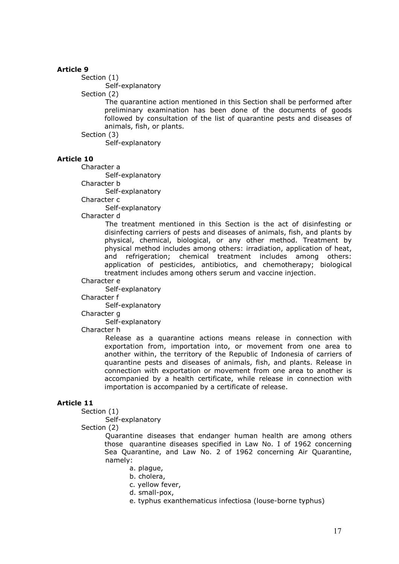Section (1) Self-explanatory

Section (2)

The quarantine action mentioned in this Section shall be performed after preliminary examination has been done of the documents of goods followed by consultation of the list of quarantine pests and diseases of animals, fish, or plants.

Section (3)

Self-explanatory

# Article 10

Character a

Self-explanatory

Character b

Self-explanatory

Character c

Self-explanatory

Character d

The treatment mentioned in this Section is the act of disinfesting or disinfecting carriers of pests and diseases of animals, fish, and plants by physical, chemical, biological, or any other method. Treatment by physical method includes among others: irradiation, application of heat, and refrigeration; chemical treatment includes among others: application of pesticides, antibiotics, and chemotherapy; biological treatment includes among others serum and vaccine injection.

#### Character e

Self-explanatory

Character f

Self-explanatory

Character g

Self-explanatory

Character h

Release as a quarantine actions means release in connection with exportation from, importation into, or movement from one area to another within, the territory of the Republic of Indonesia of carriers of quarantine pests and diseases of animals, fish, and plants. Release in connection with exportation or movement from one area to another is accompanied by a health certificate, while release in connection with importation is accompanied by a certificate of release.

# Article 11

Section (1)

Self-explanatory

Section (2)

 Quarantine diseases that endanger human health are among others those quarantine diseases specified in Law No. I of 1962 concerning Sea Quarantine, and Law No. 2 of 1962 concerning Air Quarantine, namely:

a. plague,

b. cholera,

c. yellow fever,

d. small-pox,

e. typhus exanthematicus infectiosa (louse-borne typhus)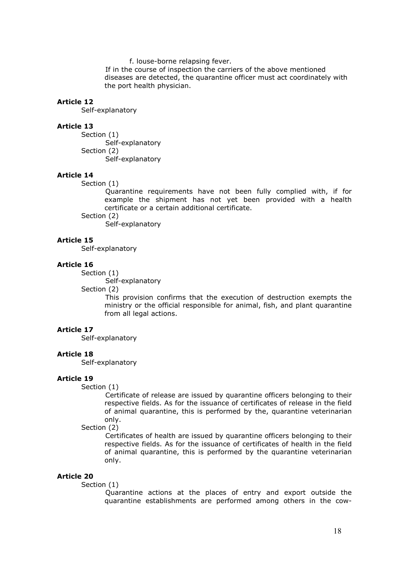f. louse-borne relapsing fever.

 If in the course of inspection the carriers of the above mentioned diseases are detected, the quarantine officer must act coordinately with the port health physician.

#### Article 12

Self-explanatory

#### Article 13

Section (1) Self-explanatory Section (2) Self-explanatory

#### Article 14

Section (1)

Quarantine requirements have not been fully complied with, if for example the shipment has not yet been provided with a health certificate or a certain additional certificate.

Section (2)

Self-explanatory

# Article 15

Self-explanatory

#### Article 16

Section (1)

Self-explanatory

Section (2)

This provision confirms that the execution of destruction exempts the ministry or the official responsible for animal, fish, and plant quarantine from all legal actions.

# Article 17

Self-explanatory

#### Article 18

Self-explanatory

#### Article 19

#### Section (1)

Certificate of release are issued by quarantine officers belonging to their respective fields. As for the issuance of certificates of release in the field of animal quarantine, this is performed by the, quarantine veterinarian only.

Section (2)

Certificates of health are issued by quarantine officers belonging to their respective fields. As for the issuance of certificates of health in the field of animal quarantine, this is performed by the quarantine veterinarian only.

#### Article 20

Section (1)

Quarantine actions at the places of entry and export outside the quarantine establishments are performed among others in the cow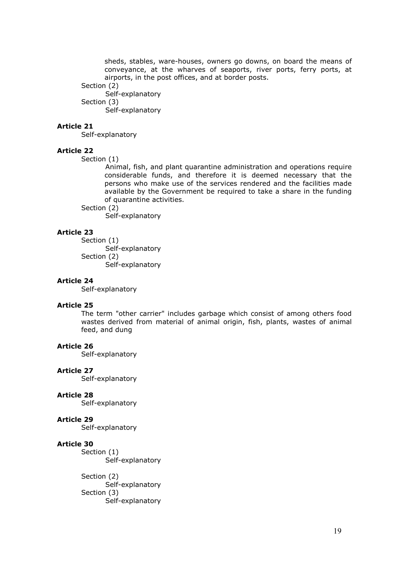sheds, stables, ware-houses, owners go downs, on board the means of conveyance, at the wharves of seaports, river ports, ferry ports, at airports, in the post offices, and at border posts.

Section (2)

Self-explanatory Section (3)

Self-explanatory

# Article 21

Self-explanatory

# Article 22

Section (1)

Animal, fish, and plant quarantine administration and operations require considerable funds, and therefore it is deemed necessary that the persons who make use of the services rendered and the facilities made available by the Government be required to take a share in the funding of quarantine activities.

# Section (2)

Self-explanatory

# Article 23

Section (1) Self-explanatory Section (2) Self-explanatory

# Article 24

Self-explanatory

# Article 25

The term "other carrier" includes garbage which consist of among others food wastes derived from material of animal origin, fish, plants, wastes of animal feed, and dung

## Article 26

Self-explanatory

## Article 27

Self-explanatory

## Article 28

Self-explanatory

## Article 29

Self-explanatory

# Article 30

Section (1) Self-explanatory

Section (2) Self-explanatory Section (3) Self-explanatory